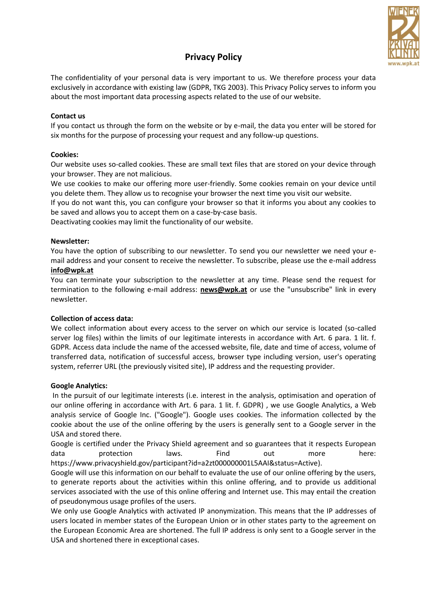

# **Privacy Policy**

The confidentiality of your personal data is very important to us. We therefore process your data exclusively in accordance with existing law (GDPR, TKG 2003). This Privacy Policy serves to inform you about the most important data processing aspects related to the use of our website.

## **Contact us**

If you contact us through the form on the website or by e-mail, the data you enter will be stored for six months for the purpose of processing your request and any follow-up questions.

## **Cookies:**

Our website uses so-called cookies. These are small text files that are stored on your device through your browser. They are not malicious.

We use cookies to make our offering more user-friendly. Some cookies remain on your device until you delete them. They allow us to recognise your browser the next time you visit our website.

If you do not want this, you can configure your browser so that it informs you about any cookies to be saved and allows you to accept them on a case-by-case basis.

Deactivating cookies may limit the functionality of our website.

#### **Newsletter:**

You have the option of subscribing to our newsletter. To send you our newsletter we need your email address and your consent to receive the newsletter. To subscribe, please use the e-mail address

#### **[info@wpk.at](mailto:info@wpk.at)**

You can terminate your subscription to the newsletter at any time. Please send the request for termination to the following e-mail address: **[news@wpk.at](mailto:news@wpk.at)** or use the "unsubscribe" link in every newsletter.

## **Collection of access data:**

We collect information about every access to the server on which our service is located (so-called server log files) within the limits of our legitimate interests in accordance with Art. 6 para. 1 lit. f. GDPR. Access data include the name of the accessed website, file, date and time of access, volume of transferred data, notification of successful access, browser type including version, user's operating system, referrer URL (the previously visited site), IP address and the requesting provider.

## **Google Analytics:**

In the pursuit of our legitimate interests (i.e. interest in the analysis, optimisation and operation of our online offering in accordance with Art. 6 para. 1 lit. f. GDPR) , we use Google Analytics, a Web analysis service of Google Inc. ("Google"). Google uses cookies. The information collected by the cookie about the use of the online offering by the users is generally sent to a Google server in the USA and stored there.

Google is certified under the Privacy Shield agreement and so guarantees that it respects European data protection laws. Find out more here: [https://www.privacyshield.gov/participant?id=a2zt000000001L5AAI&status=Active\)](https://www.privacyshield.gov/participant?id=a2zt000000001L5AAI&amp;status=Active).

Google will use this information on our behalf to evaluate the use of our online offering by the users, to generate reports about the activities within this online offering, and to provide us additional services associated with the use of this online offering and Internet use. This may entail the creation of pseudonymous usage profiles of the users.

We only use Google Analytics with activated IP anonymization. This means that the IP addresses of users located in member states of the European Union or in other states party to the agreement on the European Economic Area are shortened. The full IP address is only sent to a Google server in the USA and shortened there in exceptional cases.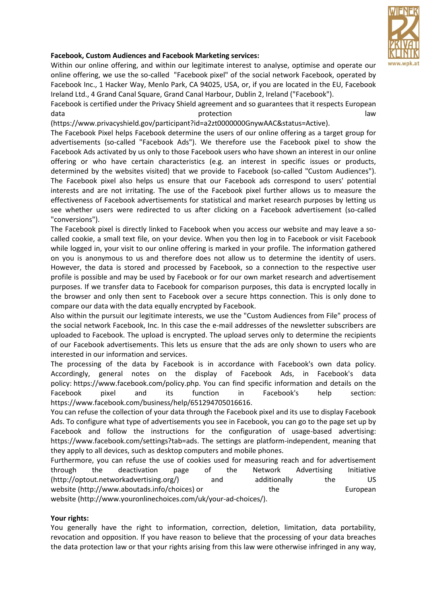

## **Facebook, Custom Audiences and Facebook Marketing services:**

Within our online offering, and within our legitimate interest to analyse, optimise and operate our online offering, we use the so-called "Facebook pixel" of the social network Facebook, operated by Facebook Inc., 1 Hacker Way, Menlo Park, CA 94025, USA, or, if you are located in the EU, Facebook Ireland Ltd., 4 Grand Canal Square, Grand Canal Harbour, Dublin 2, Ireland ("Facebook").

Facebook is certified under the Privacy Shield agreement and so guarantees that it respects European data and a set of the protection of the set of the set of the set of the set of the set of the set of the set o

[\(https://www.privacyshield.gov/participant?id=a2zt0000000GnywAAC&status=Active\)](https://www.privacyshield.gov/participant?id=a2zt0000000GnywAAC&amp;status=Active).

The Facebook Pixel helps Facebook determine the users of our online offering as a target group for advertisements (so-called "Facebook Ads"). We therefore use the Facebook pixel to show the Facebook Ads activated by us only to those Facebook users who have shown an interest in our online offering or who have certain characteristics (e.g. an interest in specific issues or products, determined by the websites visited) that we provide to Facebook (so-called "Custom Audiences"). The Facebook pixel also helps us ensure that our Facebook ads correspond to users' potential interests and are not irritating. The use of the Facebook pixel further allows us to measure the effectiveness of Facebook advertisements for statistical and market research purposes by letting us see whether users were redirected to us after clicking on a Facebook advertisement (so-called "conversions").

The Facebook pixel is directly linked to Facebook when you access our website and may leave a socalled cookie, a small text file, on your device. When you then log in to Facebook or visit Facebook while logged in, your visit to our online offering is marked in your profile. The information gathered on you is anonymous to us and therefore does not allow us to determine the identity of users. However, the data is stored and processed by Facebook, so a connection to the respective user profile is possible and may be used by Facebook or for our own market research and advertisement purposes. If we transfer data to Facebook for comparison purposes, this data is encrypted locally in the browser and only then sent to Facebook over a secure https connection. This is only done to compare our data with the data equally encrypted by Facebook.

Also within the pursuit our legitimate interests, we use the "Custom Audiences from File" process of the social network Facebook, Inc. In this case the e-mail addresses of the newsletter subscribers are uploaded to Facebook. The upload is encrypted. The upload serves only to determine the recipients of our Facebook advertisements. This lets us ensure that the ads are only shown to users who are interested in our information and services.

The processing of the data by Facebook is in accordance with Facebook's own data policy. Accordingly, general notes on the display of Facebook Ads, in Facebook's data policy: [https://www.facebook.com/policy.php.](https://www.facebook.com/policy.php) You can find specific information and details on the Facebook pixel and its function in Facebook's help section: [https://www.facebook.com/business/help/651294705016616.](https://www.facebook.com/business/help/651294705016616)

You can refuse the collection of your data through the Facebook pixel and its use to display Facebook Ads. To configure what type of advertisements you see in Facebook, you can go to the page set up by Facebook and follow the instructions for the configuration of usage-based advertising: [https://www.facebook.com/settings?tab=ads.](https://www.facebook.com/settings?tab=ads) The settings are platform-independent, meaning that they apply to all devices, such as desktop computers and mobile phones.

Furthermore, you can refuse the use of cookies used for measuring reach and for advertisement through the deactivation page of the Network Advertising Initiative [\(http://optout.networkadvertising.org/\)](http://optout.networkadvertising.org/) and additionally the US website [\(http://www.aboutads.info/choices\)](http://www.aboutads.info/choices) or the the European website [\(http://www.youronlinechoices.com/uk/your-ad-choices/\)](http://www.youronlinechoices.com/uk/your-ad-choices/).

## **Your rights:**

You generally have the right to information, correction, deletion, limitation, data portability, revocation and opposition. If you have reason to believe that the processing of your data breaches the data protection law or that your rights arising from this law were otherwise infringed in any way,